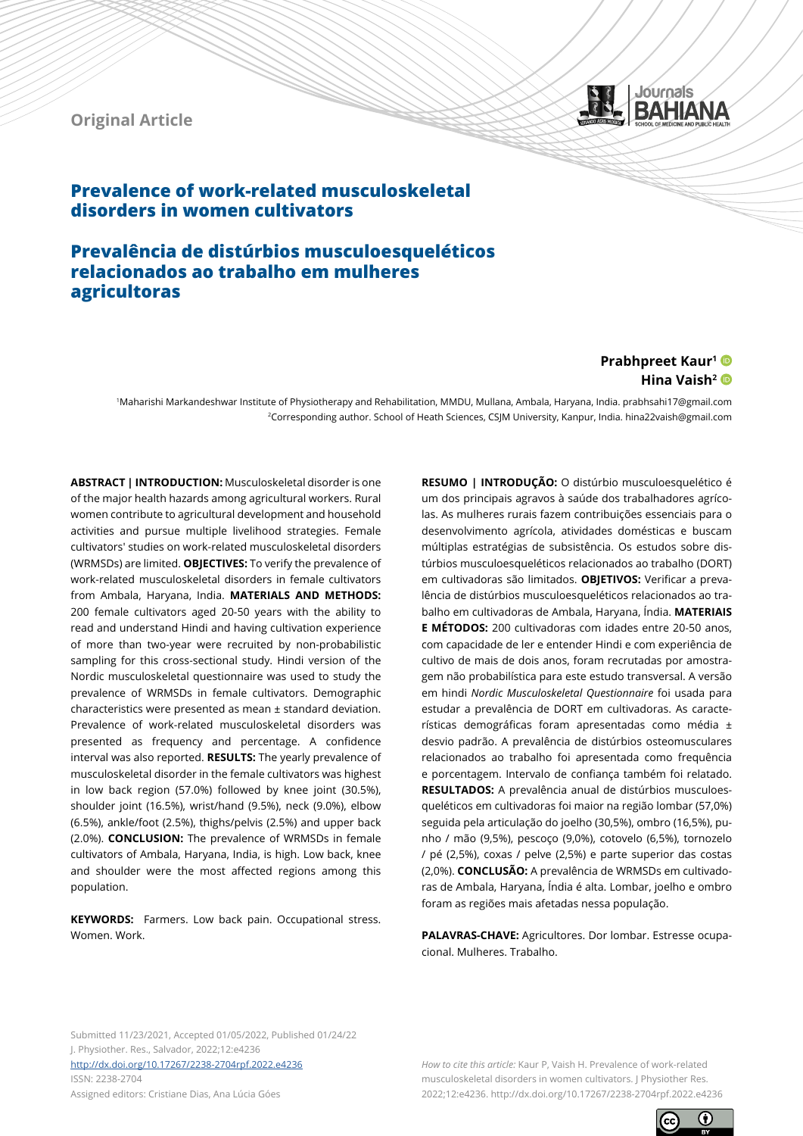



# **Prevalence of work-related musculoskeletal disorders in women cultivators**

# **Prevalência de distúrbios musculoesqueléticos relacionados ao trabalho em mulheres agricultoras**

## **Prabhpreet Kaur1** Hina Vaish<sup>2</sup>

1Maharishi Markandeshwar Institute of Physiotherapy and Rehabilitation, MMDU, Mullana, Ambala, Haryana, India. prabhsahi17@gmail.com 2Corresponding author. School of Heath Sciences, CSJM University, Kanpur, India. hina22vaish@gmail.com

**ABSTRACT | INTRODUCTION:** Musculoskeletal disorder is one of the major health hazards among agricultural workers. Rural women contribute to agricultural development and household activities and pursue multiple livelihood strategies. Female cultivators' studies on work-related musculoskeletal disorders (WRMSDs) are limited. **OBJECTIVES:** To verify the prevalence of work-related musculoskeletal disorders in female cultivators from Ambala, Haryana, India. **MATERIALS AND METHODS:** 200 female cultivators aged 20-50 years with the ability to read and understand Hindi and having cultivation experience of more than two-year were recruited by non-probabilistic sampling for this cross-sectional study. Hindi version of the Nordic musculoskeletal questionnaire was used to study the prevalence of WRMSDs in female cultivators. Demographic characteristics were presented as mean ± standard deviation. Prevalence of work-related musculoskeletal disorders was presented as frequency and percentage. A confidence interval was also reported. **RESULTS:** The yearly prevalence of musculoskeletal disorder in the female cultivators was highest in low back region (57.0%) followed by knee joint (30.5%), shoulder joint (16.5%), wrist/hand (9.5%), neck (9.0%), elbow (6.5%), ankle/foot (2.5%), thighs/pelvis (2.5%) and upper back (2.0%). **CONCLUSION:** The prevalence of WRMSDs in female cultivators of Ambala, Haryana, India, is high. Low back, knee and shoulder were the most affected regions among this population.

**KEYWORDS:** Farmers. Low back pain. Occupational stress. Women. Work.

**RESUMO | INTRODUÇÃO:** O distúrbio musculoesquelético é um dos principais agravos à saúde dos trabalhadores agrícolas. As mulheres rurais fazem contribuições essenciais para o desenvolvimento agrícola, atividades domésticas e buscam múltiplas estratégias de subsistência. Os estudos sobre distúrbios musculoesqueléticos relacionados ao trabalho (DORT) em cultivadoras são limitados. **OBJETIVOS:** Verificar a prevalência de distúrbios musculoesqueléticos relacionados ao trabalho em cultivadoras de Ambala, Haryana, Índia. **MATERIAIS E MÉTODOS:** 200 cultivadoras com idades entre 20-50 anos, com capacidade de ler e entender Hindi e com experiência de cultivo de mais de dois anos, foram recrutadas por amostragem não probabilística para este estudo transversal. A versão em hindi *Nordic Musculoskeletal Questionnaire* foi usada para estudar a prevalência de DORT em cultivadoras. As características demográficas foram apresentadas como média ± desvio padrão. A prevalência de distúrbios osteomusculares relacionados ao trabalho foi apresentada como frequência e porcentagem. Intervalo de confiança também foi relatado. **RESULTADOS:** A prevalência anual de distúrbios musculoesqueléticos em cultivadoras foi maior na região lombar (57,0%) seguida pela articulação do joelho (30,5%), ombro (16,5%), punho / mão (9,5%), pescoço (9,0%), cotovelo (6,5%), tornozelo / pé (2,5%), coxas / pelve (2,5%) e parte superior das costas (2,0%). **CONCLUSÃO:** A prevalência de WRMSDs em cultivadoras de Ambala, Haryana, Índia é alta. Lombar, joelho e ombro foram as regiões mais afetadas nessa população.

**PALAVRAS-CHAVE:** Agricultores. Dor lombar. Estresse ocupacional. Mulheres. Trabalho.

Submitted 11/23/2021, Accepted 01/05/2022, Published 01/24/22 J. Physiother. Res., Salvador, 2022;12:e4236

<http://dx.doi.org/10.17267/2238-2704rpf.2022.e4236> ISSN: 2238-2704 Assigned editors: Cristiane Dias, Ana Lúcia Góes

*How to cite this article:* Kaur P, Vaish H. Prevalence of work-related musculoskeletal disorders in women cultivators. J Physiother Res. 2022;12:e4236. http://dx.doi.org/10.17267/2238-2704rpf.2022.e4236

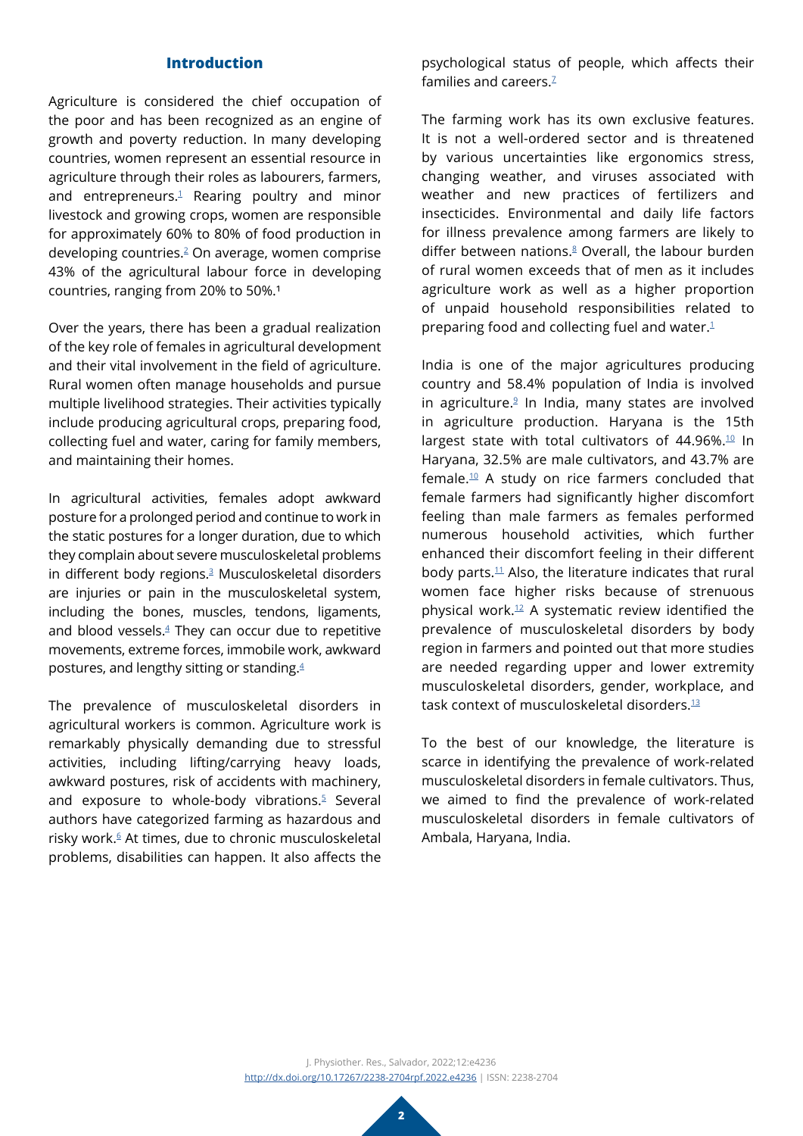## **Introduction**

Agriculture is considered the chief occupation of the poor and has been recognized as an engine of growth and poverty reduction. In many developing countries, women represent an essential resource in agriculture through their roles as labourers, farmers, and entrepreneurs.<sup>1</sup> Rearing poultry and minor livestock and growing crops, women are responsible for approximately 60% to 80% of food production in developing countries[.2](#page-7-1) On average, women comprise 43% of the agricultural labour force in developing countries, ranging from 20% to 50%.<sup>1</sup>

Over the years, there has been a gradual realization of the key role of females in agricultural development and their vital involvement in the field of agriculture. Rural women often manage households and pursue multiple livelihood strategies. Their activities typically include producing agricultural crops, preparing food, collecting fuel and water, caring for family members, and maintaining their homes.

In agricultural activities, females adopt awkward posture for a prolonged period and continue to work in the static postures for a longer duration, due to which they complain about severe musculoskeletal problems in different body regions.[3](#page-7-2) Musculoskeletal disorders are injuries or pain in the musculoskeletal system, including the bones, muscles, tendons, ligaments, and blood vessels. $4$  They can occur due to repetitive movements, extreme forces, immobile work, awkward postures, and lengthy sitting or standing[.4](#page-7-3)

The prevalence of musculoskeletal disorders in agricultural workers is common. Agriculture work is remarkably physically demanding due to stressful activities, including lifting/carrying heavy loads, awkward postures, risk of accidents with machinery, and exposure to whole-body vibrations.<sup>5</sup> Several authors have categorized farming as hazardous and risky work[.6](#page-7-5) At times, due to chronic musculoskeletal problems, disabilities can happen. It also affects the

psychological status of people, which affects their families and careers. $7$ 

The farming work has its own exclusive features. It is not a well-ordered sector and is threatened by various uncertainties like ergonomics stress, changing weather, and viruses associated with weather and new practices of fertilizers and insecticides. Environmental and daily life factors for illness prevalence among farmers are likely to differ between nations.<sup>8</sup> Overall, the labour burden of rural women exceeds that of men as it includes agriculture work as well as a higher proportion of unpaid household responsibilities related to preparing food and collecting fuel and water.<sup>1</sup>

India is one of the major agricultures producing country and 58.4% population of India is involved in agriculture. $9$  In India, many states are involved in agriculture production. Haryana is the 15th largest state with total cultivators of  $44.96\%$ .<sup>10</sup> In Haryana, 32.5% are male cultivators, and 43.7% are female.[10](#page-8-2) A study on rice farmers concluded that female farmers had significantly higher discomfort feeling than male farmers as females performed numerous household activities, which further enhanced their discomfort feeling in their different body parts. $11$  Also, the literature indicates that rural women face higher risks because of strenuous physical work.[12](#page-8-4) A systematic review identified the prevalence of musculoskeletal disorders by body region in farmers and pointed out that more studies are needed regarding upper and lower extremity musculoskeletal disorders, gender, workplace, and task context of musculoskeletal disorders.[13](#page-8-5)

To the best of our knowledge, the literature is scarce in identifying the prevalence of work-related musculoskeletal disorders in female cultivators. Thus, we aimed to find the prevalence of work-related musculoskeletal disorders in female cultivators of Ambala, Haryana, India.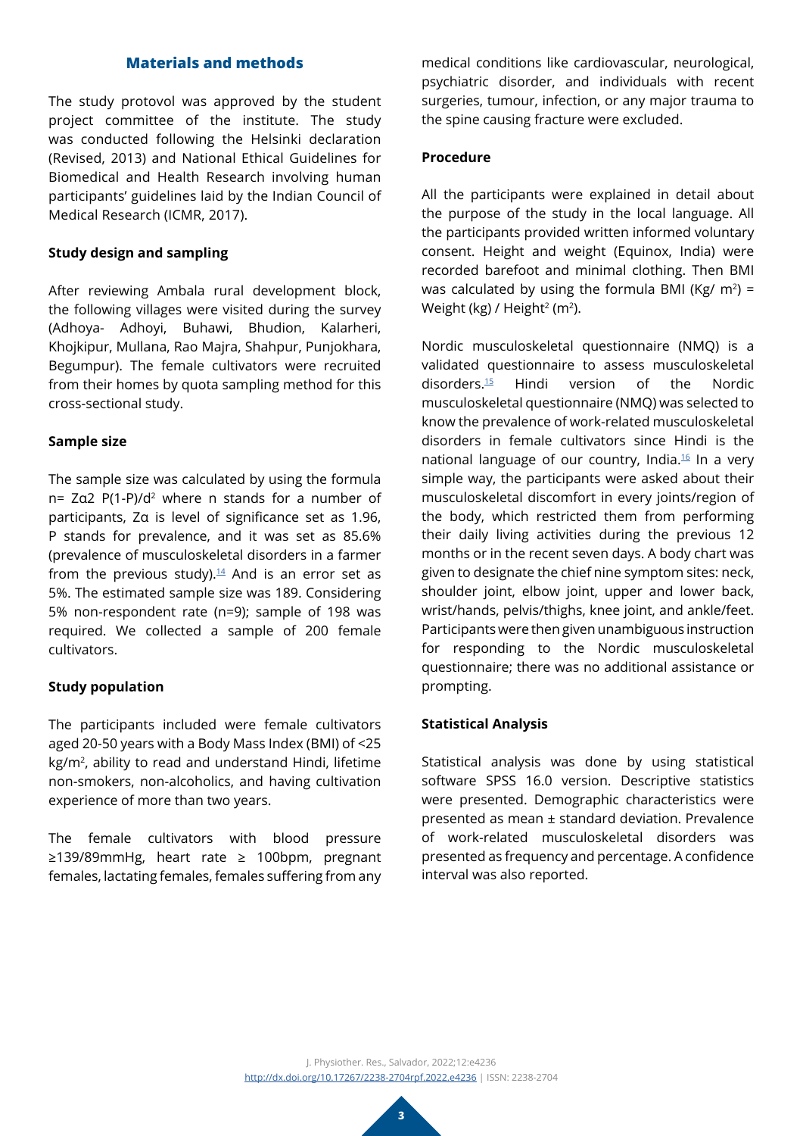# **Materials and methods**

The study protovol was approved by the student project committee of the institute. The study was conducted following the Helsinki declaration (Revised, 2013) and National Ethical Guidelines for Biomedical and Health Research involving human participants' guidelines laid by the Indian Council of Medical Research (ICMR, 2017).

### **Study design and sampling**

After reviewing Ambala rural development block, the following villages were visited during the survey (Adhoya- Adhoyi, Buhawi, Bhudion, Kalarheri, Khojkipur, Mullana, Rao Majra, Shahpur, Punjokhara, Begumpur). The female cultivators were recruited from their homes by quota sampling method for this cross-sectional study.

### **Sample size**

The sample size was calculated by using the formula n= Zα2 P(1-P)/d2 where n stands for a number of participants, Zα is level of significance set as 1.96, P stands for prevalence, and it was set as 85.6% (prevalence of musculoskeletal disorders in a farmer from the previous study). $14$  And is an error set as 5%. The estimated sample size was 189. Considering 5% non-respondent rate (n=9); sample of 198 was required. We collected a sample of 200 female cultivators.

## **Study population**

The participants included were female cultivators aged 20-50 years with a Body Mass Index (BMI) of <25 kg/m2, ability to read and understand Hindi, lifetime non-smokers, non-alcoholics, and having cultivation experience of more than two years.

The female cultivators with blood pressure ≥139/89mmHg, heart rate ≥ 100bpm, pregnant females, lactating females, females suffering from any

medical conditions like cardiovascular, neurological, psychiatric disorder, and individuals with recent surgeries, tumour, infection, or any major trauma to the spine causing fracture were excluded.

### **Procedure**

All the participants were explained in detail about the purpose of the study in the local language. All the participants provided written informed voluntary consent. Height and weight (Equinox, India) were recorded barefoot and minimal clothing. Then BMI was calculated by using the formula BMI (Kg/  $m^2$ ) = Weight (kg) / Height<sup>2</sup> (m<sup>2</sup>).

Nordic musculoskeletal questionnaire (NMQ) is a validated questionnaire to assess musculoskeletal disorders[.15](#page-8-7) Hindi version of the Nordic musculoskeletal questionnaire (NMQ) was selected to know the prevalence of work-related musculoskeletal disorders in female cultivators since Hindi is the national language of our country, India.<sup>16</sup> In a very simple way, the participants were asked about their musculoskeletal discomfort in every joints/region of the body, which restricted them from performing their daily living activities during the previous 12 months or in the recent seven days. A body chart was given to designate the chief nine symptom sites: neck, shoulder joint, elbow joint, upper and lower back, wrist/hands, pelvis/thighs, knee joint, and ankle/feet. Participants were then given unambiguous instruction for responding to the Nordic musculoskeletal questionnaire; there was no additional assistance or prompting.

#### **Statistical Analysis**

Statistical analysis was done by using statistical software SPSS 16.0 version. Descriptive statistics were presented. Demographic characteristics were presented as mean ± standard deviation. Prevalence of work-related musculoskeletal disorders was presented as frequency and percentage. A confidence interval was also reported.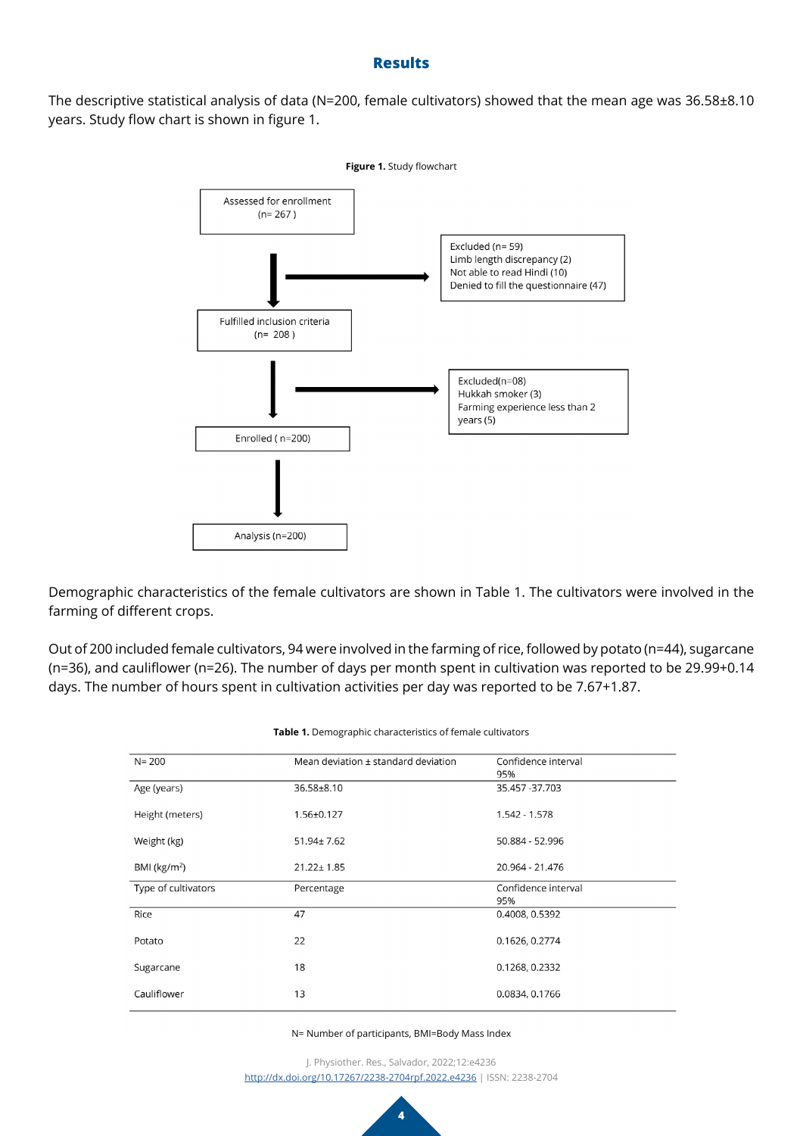## **Results**

The descriptive statistical analysis of data (N=200, female cultivators) showed that the mean age was 36.58±8.10 years. Study flow chart is shown in figure 1.



Demographic characteristics of the female cultivators are shown in Table 1. The cultivators were involved in the farming of different crops.

Out of 200 included female cultivators, 94 were involved in the farming of rice, followed by potato (n=44), sugarcane (n=36), and cauliflower (n=26). The number of days per month spent in cultivation was reported to be 29.99+0.14 days. The number of hours spent in cultivation activities per day was reported to be 7.67+1.87.

| $N = 200$           | Mean deviation ± standard deviation | Confidence interval<br>95% |
|---------------------|-------------------------------------|----------------------------|
| Age (years)         | 36.58±8.10                          | 35.457 - 37.703            |
| Height (meters)     | $1.56 \pm 0.127$                    | $1.542 - 1.578$            |
| Weight (kg)         | $51.94 \pm 7.62$                    | 50.884 - 52.996            |
| BMI ( $kg/m2$ )     | $21.22 \pm 1.85$                    | 20.964 - 21.476            |
| Type of cultivators | Percentage                          | Confidence interval<br>95% |
|                     |                                     |                            |
| Rice                | 47                                  | 0.4008, 0.5392             |
| Potato              | 22                                  | 0.1626, 0.2774             |
| Sugarcane           | 18                                  | 0.1268, 0.2332             |

**Table 1.** Demographic characteristics of female cultivators

N= Number of participants, BMI=Body Mass Index

J. Physiother. Res., Salvador, 2022;12:e4236 <http://dx.doi.org/10.17267/2238-2704rpf.2022.e4236> | ISSN: 2238-2704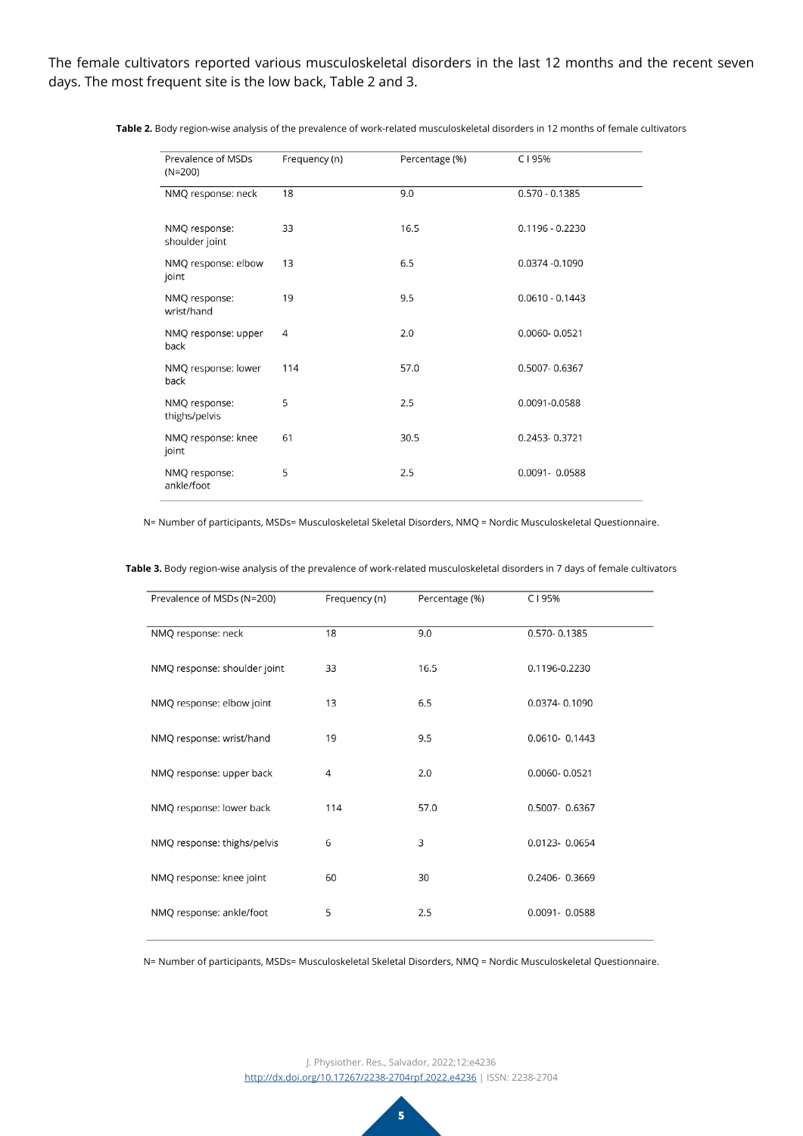The female cultivators reported various musculoskeletal disorders in the last 12 months and the recent seven days. The most frequent site is the low back, Table 2 and 3.

| Prevalence of MSDs<br>$(N=200)$ | Frequency (n) | Percentage (%) | C195%             |
|---------------------------------|---------------|----------------|-------------------|
| NMQ response: neck              | 18            | 9.0            | $0.570 - 0.1385$  |
| NMQ response:<br>shoulder joint | 33            | 16.5           | $0.1196 - 0.2230$ |
| NMQ response: elbow<br>joint    | 13            | 6.5            | 0.0374 -0.1090    |
| NMQ response:<br>wrist/hand     | 19            | 9.5            | $0.0610 - 0.1443$ |
| NMQ response: upper<br>back     | 4             | 2.0            | 0.0060-0.0521     |
| NMQ response: lower<br>back     | 114           | 57.0           | 0.5007-0.6367     |
| NMQ response:<br>thighs/pelvis  | 5             | 2.5            | 0.0091-0.0588     |
| NMQ response: knee<br>joint     | 61            | 30.5           | 0.2453-0.3721     |
| NMQ response:<br>ankle/foot     | 5             | 2.5            | 0.0091-0.0588     |

**Table 2.** Body region-wise analysis of the prevalence of work-related musculoskeletal disorders in 12 months of female cultivators

N= Number of participants, MSDs= Musculoskeletal Skeletal Disorders, NMQ = Nordic Musculoskeletal Questionnaire.

**Table 3.** Body region-wise analysis of the prevalence of work-related musculoskeletal disorders in 7 days of female cultivators

| Prevalence of MSDs (N=200)   | Frequency (n) | Percentage (%) | C195%         |
|------------------------------|---------------|----------------|---------------|
| NMQ response: neck           | 18            | 9.0            | 0.570-0.1385  |
| NMQ response: shoulder joint | 33            | 16.5           | 0.1196-0.2230 |
| NMQ response: elbow joint    | 13            | 6.5            | 0.0374-0.1090 |
| NMQ response: wrist/hand     | 19            | 9.5            | 0.0610-0.1443 |
| NMQ response: upper back     | 4             | 2.0            | 0.0060-0.0521 |
| NMQ response: lower back     | 114           | 57.0           | 0.5007-0.6367 |
| NMQ response: thighs/pelvis  | 6             | 3              | 0.0123-0.0654 |
| NMQ response: knee joint     | 60            | 30             | 0.2406-0.3669 |
| NMQ response: ankle/foot     | 5             | 2.5            | 0.0091-0.0588 |

N= Number of participants, MSDs= Musculoskeletal Skeletal Disorders, NMQ = Nordic Musculoskeletal Questionnaire.

J. Physiother. Res., Salvador, 2022;12:e4236 <http://dx.doi.org/10.17267/2238-2704rpf.2022.e4236> | ISSN: 2238-2704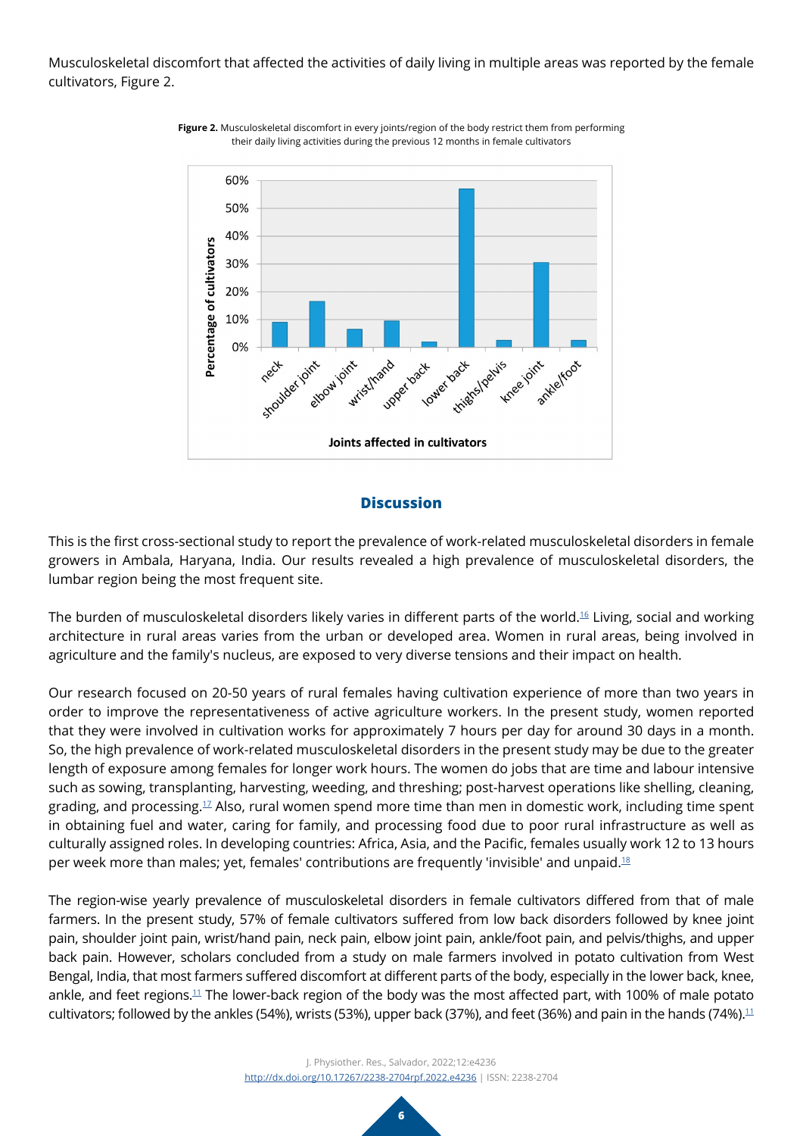Musculoskeletal discomfort that affected the activities of daily living in multiple areas was reported by the female cultivators, Figure 2.



**Figure 2.** Musculoskeletal discomfort in every joints/region of the body restrict them from performing their daily living activities during the previous 12 months in female cultivators

## **Discussion**

This is the first cross-sectional study to report the prevalence of work-related musculoskeletal disorders in female growers in Ambala, Haryana, India. Our results revealed a high prevalence of musculoskeletal disorders, the lumbar region being the most frequent site.

The burden of musculoskeletal disorders likely varies in different parts of the world.[16](#page-8-8) Living, social and working architecture in rural areas varies from the urban or developed area. Women in rural areas, being involved in agriculture and the family's nucleus, are exposed to very diverse tensions and their impact on health.

Our research focused on 20-50 years of rural females having cultivation experience of more than two years in order to improve the representativeness of active agriculture workers. In the present study, women reported that they were involved in cultivation works for approximately 7 hours per day for around 30 days in a month. So, the high prevalence of work-related musculoskeletal disorders in the present study may be due to the greater length of exposure among females for longer work hours. The women do jobs that are time and labour intensive such as sowing, transplanting, harvesting, weeding, and threshing; post-harvest operations like shelling, cleaning, grading, and processing[.17](#page-8-9) Also, rural women spend more time than men in domestic work, including time spent in obtaining fuel and water, caring for family, and processing food due to poor rural infrastructure as well as culturally assigned roles. In developing countries: Africa, Asia, and the Pacific, females usually work 12 to 13 hours per week more than males; yet, females' contributions are frequently 'invisible' and unpaid.[18](#page-8-10)

The region-wise yearly prevalence of musculoskeletal disorders in female cultivators differed from that of male farmers. In the present study, 57% of female cultivators suffered from low back disorders followed by knee joint pain, shoulder joint pain, wrist/hand pain, neck pain, elbow joint pain, ankle/foot pain, and pelvis/thighs, and upper back pain. However, scholars concluded from a study on male farmers involved in potato cultivation from West Bengal, India, that most farmers suffered discomfort at different parts of the body, especially in the lower back, knee, ankle, and feet regions.<sup>[11](#page-8-3)</sup> The lower-back region of the body was the most affected part, with 100% of male potato cultivators; followed by the ankles (54%), wrists (53%), upper back (37%), and feet (36%) and pain in the hands (74%).<sup>[11](#page-8-3)</sup>

> J. Physiother. Res., Salvador, 2022;12:e4236 <http://dx.doi.org/10.17267/2238-2704rpf.2022.e4236> | ISSN: 2238-2704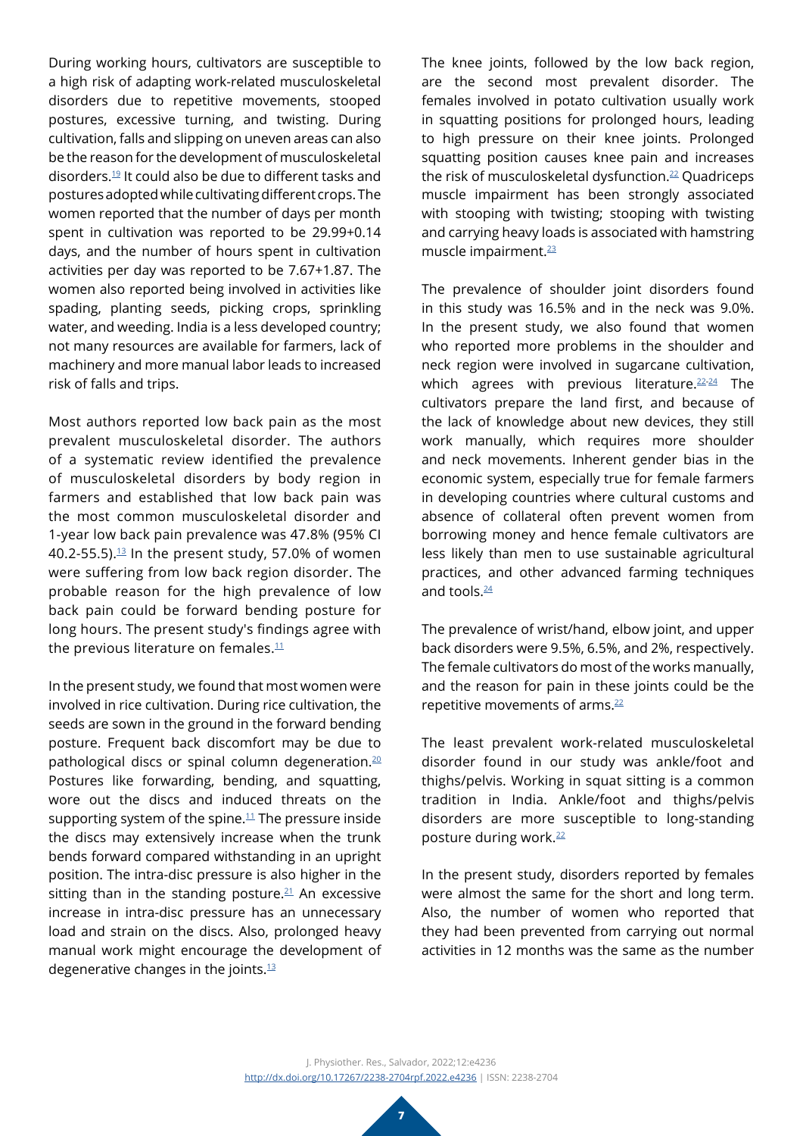During working hours, cultivators are susceptible to a high risk of adapting work-related musculoskeletal disorders due to repetitive movements, stooped postures, excessive turning, and twisting. During cultivation, falls and slipping on uneven areas can also be the reason for the development of musculoskeletal disorders.[19](#page-8-11) It could also be due to different tasks and postures adopted while cultivating different crops. The women reported that the number of days per month spent in cultivation was reported to be 29.99+0.14 days, and the number of hours spent in cultivation activities per day was reported to be 7.67+1.87. The women also reported being involved in activities like spading, planting seeds, picking crops, sprinkling water, and weeding. India is a less developed country; not many resources are available for farmers, lack of machinery and more manual labor leads to increased risk of falls and trips.

Most authors reported low back pain as the most prevalent musculoskeletal disorder. The authors of a systematic review identified the prevalence of musculoskeletal disorders by body region in farmers and established that low back pain was the most common musculoskeletal disorder and 1-year low back pain prevalence was 47.8% (95% CI 40.2-55.5). $13$  In the present study, 57.0% of women were suffering from low back region disorder. The probable reason for the high prevalence of low back pain could be forward bending posture for long hours. The present study's findings agree with the previous literature on females. $11$ 

In the present study, we found that most women were involved in rice cultivation. During rice cultivation, the seeds are sown in the ground in the forward bending posture. Frequent back discomfort may be due to pathological discs or spinal column degeneration.<sup>20</sup> Postures like forwarding, bending, and squatting, wore out the discs and induced threats on the supporting system of the spine. $11$  The pressure inside the discs may extensively increase when the trunk bends forward compared withstanding in an upright position. The intra-disc pressure is also higher in the sitting than in the standing posture. $21$  An excessive increase in intra-disc pressure has an unnecessary load and strain on the discs. Also, prolonged heavy manual work might encourage the development of degenerative changes in the joints.[13](#page-8-5)

The knee joints, followed by the low back region, are the second most prevalent disorder. The females involved in potato cultivation usually work in squatting positions for prolonged hours, leading to high pressure on their knee joints. Prolonged squatting position causes knee pain and increases the risk of musculoskeletal dysfunction.<sup>[22](#page-8-14)</sup> Quadriceps muscle impairment has been strongly associated with stooping with twisting; stooping with twisting and carrying heavy loads is associated with hamstring muscle impairment.[23](#page-8-15)

The prevalence of shoulder joint disorders found in this study was 16.5% and in the neck was 9.0%. In the present study, we also found that women who reported more problems in the shoulder and neck region were involved in sugarcane cultivation, which agrees with previous literature.<sup>[22-](#page-8-14)[24](#page-8-16)</sup> The cultivators prepare the land first, and because of the lack of knowledge about new devices, they still work manually, which requires more shoulder and neck movements. Inherent gender bias in the economic system, especially true for female farmers in developing countries where cultural customs and absence of collateral often prevent women from borrowing money and hence female cultivators are less likely than men to use sustainable agricultural practices, and other advanced farming techniques and tools.<sup>[24](#page-8-16)</sup>

The prevalence of wrist/hand, elbow joint, and upper back disorders were 9.5%, 6.5%, and 2%, respectively. The female cultivators do most of the works manually, and the reason for pain in these joints could be the repetitive movements of arms.[22](#page-8-14)

The least prevalent work-related musculoskeletal disorder found in our study was ankle/foot and thighs/pelvis. Working in squat sitting is a common tradition in India. Ankle/foot and thighs/pelvis disorders are more susceptible to long-standing posture during work[.22](#page-8-14)

In the present study, disorders reported by females were almost the same for the short and long term. Also, the number of women who reported that they had been prevented from carrying out normal activities in 12 months was the same as the number

J. Physiother. Res., Salvador, 2022;12:e4236 <http://dx.doi.org/10.17267/2238-2704rpf.2022.e4236> | ISSN: 2238-2704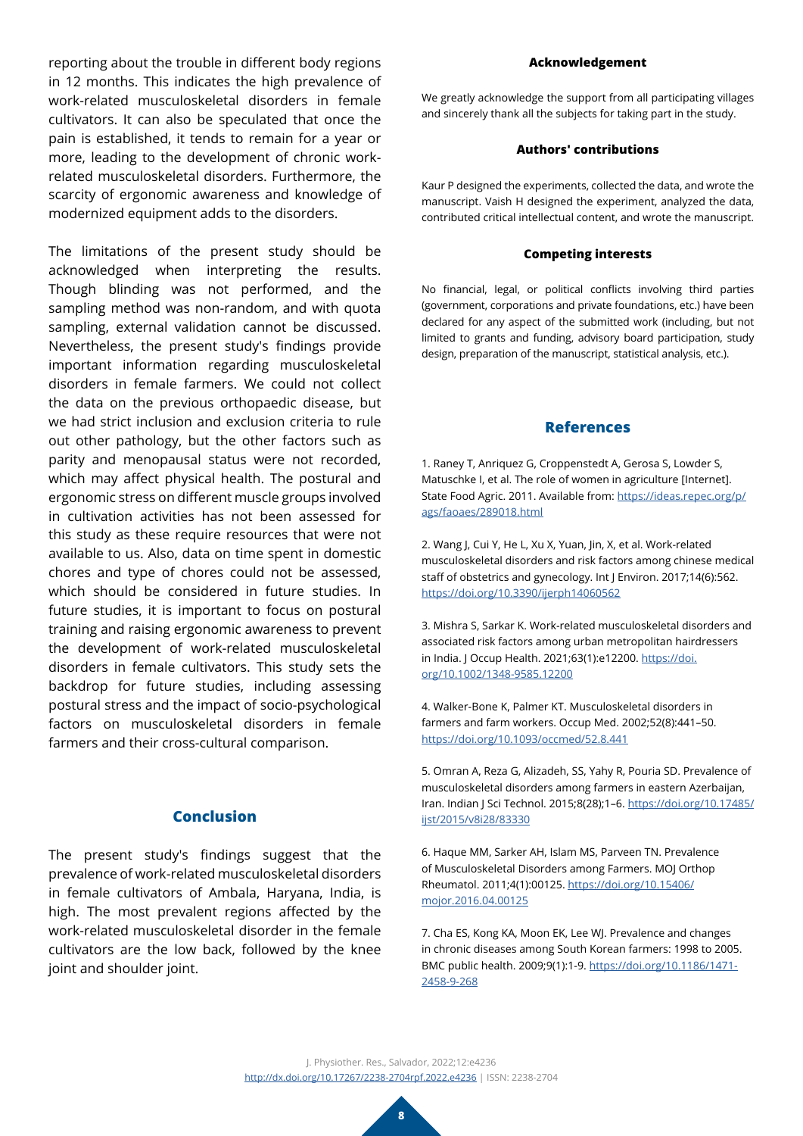reporting about the trouble in different body regions in 12 months. This indicates the high prevalence of work-related musculoskeletal disorders in female cultivators. It can also be speculated that once the pain is established, it tends to remain for a year or more, leading to the development of chronic workrelated musculoskeletal disorders. Furthermore, the scarcity of ergonomic awareness and knowledge of modernized equipment adds to the disorders.

The limitations of the present study should be acknowledged when interpreting the results. Though blinding was not performed, and the sampling method was non-random, and with quota sampling, external validation cannot be discussed. Nevertheless, the present study's findings provide important information regarding musculoskeletal disorders in female farmers. We could not collect the data on the previous orthopaedic disease, but we had strict inclusion and exclusion criteria to rule out other pathology, but the other factors such as parity and menopausal status were not recorded, which may affect physical health. The postural and ergonomic stress on different muscle groups involved in cultivation activities has not been assessed for this study as these require resources that were not available to us. Also, data on time spent in domestic chores and type of chores could not be assessed, which should be considered in future studies. In future studies, it is important to focus on postural training and raising ergonomic awareness to prevent the development of work-related musculoskeletal disorders in female cultivators. This study sets the backdrop for future studies, including assessing postural stress and the impact of socio-psychological factors on musculoskeletal disorders in female farmers and their cross-cultural comparison.

## **Conclusion**

The present study's findings suggest that the prevalence of work-related musculoskeletal disorders in female cultivators of Ambala, Haryana, India, is high. The most prevalent regions affected by the work-related musculoskeletal disorder in the female cultivators are the low back, followed by the knee joint and shoulder joint.

#### **Acknowledgement**

We greatly acknowledge the support from all participating villages and sincerely thank all the subjects for taking part in the study.

#### **Authors' contributions**

Kaur P designed the experiments, collected the data, and wrote the manuscript. Vaish H designed the experiment, analyzed the data, contributed critical intellectual content, and wrote the manuscript.

#### **Competing interests**

No financial, legal, or political conflicts involving third parties (government, corporations and private foundations, etc.) have been declared for any aspect of the submitted work (including, but not limited to grants and funding, advisory board participation, study design, preparation of the manuscript, statistical analysis, etc.).

#### **References**

<span id="page-7-0"></span>1. Raney T, Anriquez G, Croppenstedt A, Gerosa S, Lowder S, Matuschke I, et al. The role of women in agriculture [Internet]. State Food Agric. 2011. Available from: [https://ideas.repec.org/p/](https://ideas.repec.org/p/ags/faoaes/289018.html) [ags/faoaes/289018.html](https://ideas.repec.org/p/ags/faoaes/289018.html)

<span id="page-7-1"></span>2. Wang J, Cui Y, He L, Xu X, Yuan, Jin, X, et al. Work-related musculoskeletal disorders and risk factors among chinese medical staff of obstetrics and gynecology. Int J Environ. 2017;14(6):562. <https://doi.org/10.3390/ijerph14060562>

<span id="page-7-2"></span>3. Mishra S, Sarkar K. Work-related musculoskeletal disorders and associated risk factors among urban metropolitan hairdressers in India. J Occup Health. 2021;63(1):e12200. [https://doi.](https://doi.org/10.1002/1348-9585.12200) [org/10.1002/1348-9585.12200](https://doi.org/10.1002/1348-9585.12200)

<span id="page-7-3"></span>4. Walker-Bone K, Palmer KT. Musculoskeletal disorders in farmers and farm workers. Occup Med. 2002;52(8):441–50. <https://doi.org/10.1093/occmed/52.8.441>

<span id="page-7-4"></span>5. Omran A, Reza G, Alizadeh, SS, Yahy R, Pouria SD. Prevalence of musculoskeletal disorders among farmers in eastern Azerbaijan, Iran. Indian J Sci Technol. 2015;8(28);1–6. [https://doi.org/10.17485/](https://doi.org/10.17485/ijst/2015/v8i28/83330) [ijst/2015/v8i28/83330](https://doi.org/10.17485/ijst/2015/v8i28/83330)

<span id="page-7-5"></span>6. Haque MM, Sarker AH, Islam MS, Parveen TN. Prevalence of Musculoskeletal Disorders among Farmers. MOJ Orthop Rheumatol. 2011;4(1):00125. [https://doi.org/10.15406/](https://doi.org/10.15406/mojor.2016.04.00125) [mojor.2016.04.00125](https://doi.org/10.15406/mojor.2016.04.00125)

<span id="page-7-6"></span>7. Cha ES, Kong KA, Moon EK, Lee WJ. Prevalence and changes in chronic diseases among South Korean farmers: 1998 to 2005. BMC public health. 2009;9(1):1-9. [https://doi.org/10.1186/1471-](https://doi.org/10.1186/1471-2458-9-268) [2458-9-268](https://doi.org/10.1186/1471-2458-9-268)

J. Physiother. Res., Salvador, 2022;12:e4236 <http://dx.doi.org/10.17267/2238-2704rpf.2022.e4236> | ISSN: 2238-2704